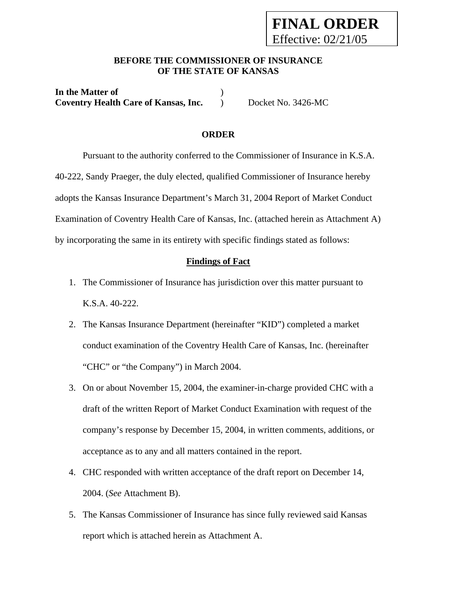# **FINAL ORDER**  Effective: 02/21/05

## **BEFORE THE COMMISSIONER OF INSURANCE OF THE STATE OF KANSAS**

**In the Matter of** ) **Coventry Health Care of Kansas, Inc.** ) Docket No. 3426-MC

#### **ORDER**

 Pursuant to the authority conferred to the Commissioner of Insurance in K.S.A. 40-222, Sandy Praeger, the duly elected, qualified Commissioner of Insurance hereby adopts the Kansas Insurance Department's March 31, 2004 Report of Market Conduct Examination of Coventry Health Care of Kansas, Inc. (attached herein as Attachment A) by incorporating the same in its entirety with specific findings stated as follows:

#### **Findings of Fact**

- 1. The Commissioner of Insurance has jurisdiction over this matter pursuant to K.S.A. 40-222.
- 2. The Kansas Insurance Department (hereinafter "KID") completed a market conduct examination of the Coventry Health Care of Kansas, Inc. (hereinafter "CHC" or "the Company") in March 2004.
- 3. On or about November 15, 2004, the examiner-in-charge provided CHC with a draft of the written Report of Market Conduct Examination with request of the company's response by December 15, 2004, in written comments, additions, or acceptance as to any and all matters contained in the report.
- 4. CHC responded with written acceptance of the draft report on December 14, 2004. (*See* Attachment B).
- 5. The Kansas Commissioner of Insurance has since fully reviewed said Kansas report which is attached herein as Attachment A.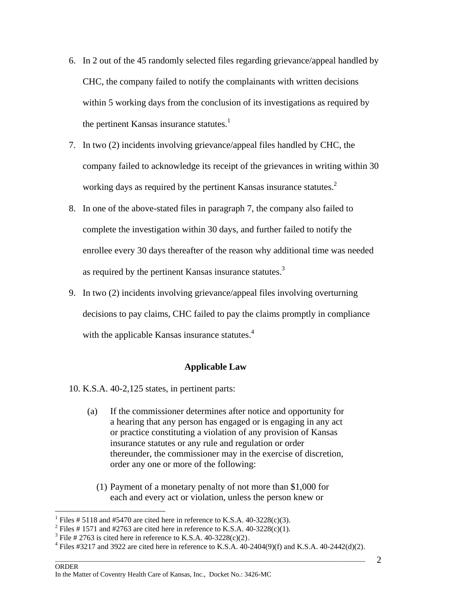- 6. In 2 out of the 45 randomly selected files regarding grievance/appeal handled by CHC, the company failed to notify the complainants with written decisions within 5 working days from the conclusion of its investigations as required by the pertinent Kansas insurance statutes. $<sup>1</sup>$ </sup>
- 7. In two (2) incidents involving grievance/appeal files handled by CHC, the company failed to acknowledge its receipt of the grievances in writing within 30 working days as required by the pertinent Kansas insurance statutes.<sup>2</sup>
- 8. In one of the above-stated files in paragraph 7, the company also failed to complete the investigation within 30 days, and further failed to notify the enrollee every 30 days thereafter of the reason why additional time was needed as required by the pertinent Kansas insurance statutes.<sup>3</sup>
- 9. In two (2) incidents involving grievance/appeal files involving overturning decisions to pay claims, CHC failed to pay the claims promptly in compliance with the applicable Kansas insurance statutes.<sup>4</sup>

#### **Applicable Law**

- 10. K.S.A. 40-2,125 states, in pertinent parts:
	- (a) If the commissioner determines after notice and opportunity for a hearing that any person has engaged or is engaging in any act or practice constituting a violation of any provision of Kansas insurance statutes or any rule and regulation or order thereunder, the commissioner may in the exercise of discretion, order any one or more of the following:
		- (1) Payment of a monetary penalty of not more than \$1,000 for each and every act or violation, unless the person knew or

<u>.</u>

<sup>&</sup>lt;sup>1</sup> Files # 5118 and #5470 are cited here in reference to K.S.A. 40-3228(c)(3).

<sup>&</sup>lt;sup>2</sup> Files # 1571 and #2763 are cited here in reference to K.S.A. 40-3228(c)(1).

<sup>&</sup>lt;sup>3</sup> File # 2763 is cited here in reference to K.S.A. 40-3228(c)(2).

 $\Box$  . The contribution of the contribution of the contribution of the contribution of the contribution of the contribution of the contribution of the contribution of the contribution of the contribution of the contributi <sup>4</sup> Files #3217 and 3922 are cited here in reference to K.S.A. 40-2404(9)(f) and K.S.A. 40-2442(d)(2).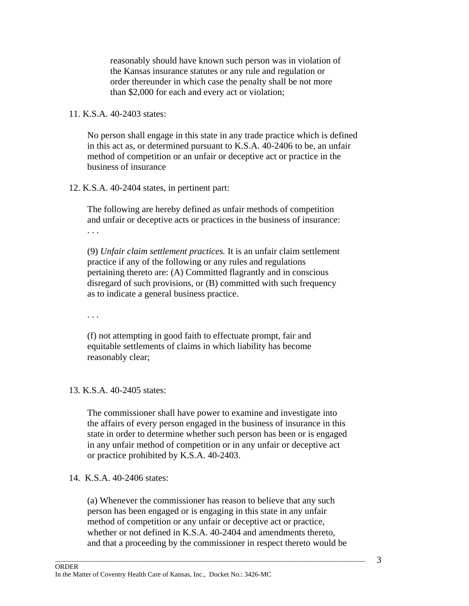reasonably should have known such person was in violation of the Kansas insurance statutes or any rule and regulation or order thereunder in which case the penalty shall be not more than \$2,000 for each and every act or violation;

# 11. K.S.A. 40-2403 states:

No person shall engage in this state in any trade practice which is defined in this act as, or determined pursuant to K.S.A. 40-2406 to be, an unfair method of competition or an unfair or deceptive act or practice in the business of insurance

#### 12. K.S.A. 40-2404 states, in pertinent part:

The following are hereby defined as unfair methods of competition and unfair or deceptive acts or practices in the business of insurance: . . .

(9) *Unfair claim settlement practices.* It is an unfair claim settlement practice if any of the following or any rules and regulations pertaining thereto are: (A) Committed flagrantly and in conscious disregard of such provisions, or (B) committed with such frequency as to indicate a general business practice.

. . .

(f) not attempting in good faith to effectuate prompt, fair and equitable settlements of claims in which liability has become reasonably clear;

#### 13. K.S.A. 40-2405 states:

The commissioner shall have power to examine and investigate into the affairs of every person engaged in the business of insurance in this state in order to determine whether such person has been or is engaged in any unfair method of competition or in any unfair or deceptive act or practice prohibited by K.S.A. 40-2403.

#### 14. K.S.A. 40-2406 states:

(a) Whenever the commissioner has reason to believe that any such person has been engaged or is engaging in this state in any unfair method of competition or any unfair or deceptive act or practice, whether or not defined in K.S.A. 40-2404 and amendments thereto, and that a proceeding by the commissioner in respect thereto would be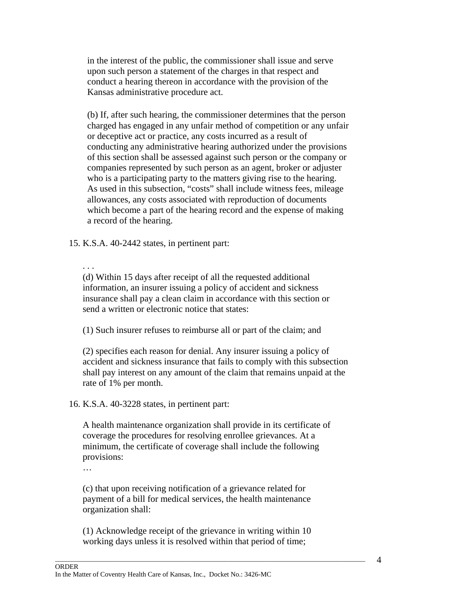in the interest of the public, the commissioner shall issue and serve upon such person a statement of the charges in that respect and conduct a hearing thereon in accordance with the provision of the Kansas administrative procedure act.

(b) If, after such hearing, the commissioner determines that the person charged has engaged in any unfair method of competition or any unfair or deceptive act or practice, any costs incurred as a result of conducting any administrative hearing authorized under the provisions of this section shall be assessed against such person or the company or companies represented by such person as an agent, broker or adjuster who is a participating party to the matters giving rise to the hearing. As used in this subsection, "costs" shall include witness fees, mileage allowances, any costs associated with reproduction of documents which become a part of the hearing record and the expense of making a record of the hearing.

15. K.S.A. 40-2442 states, in pertinent part:

#### . . .

(d) Within 15 days after receipt of all the requested additional information, an insurer issuing a policy of accident and sickness insurance shall pay a clean claim in accordance with this section or send a written or electronic notice that states:

(1) Such insurer refuses to reimburse all or part of the claim; and

(2) specifies each reason for denial. Any insurer issuing a policy of accident and sickness insurance that fails to comply with this subsection shall pay interest on any amount of the claim that remains unpaid at the rate of 1% per month.

16. K.S.A. 40-3228 states, in pertinent part:

A health maintenance organization shall provide in its certificate of coverage the procedures for resolving enrollee grievances. At a minimum, the certificate of coverage shall include the following provisions:

…

(c) that upon receiving notification of a grievance related for payment of a bill for medical services, the health maintenance organization shall:

(1) Acknowledge receipt of the grievance in writing within 10 working days unless it is resolved within that period of time;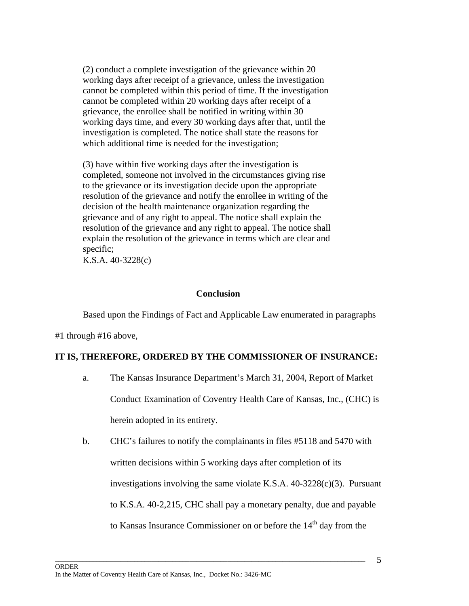(2) conduct a complete investigation of the grievance within 20 working days after receipt of a grievance, unless the investigation cannot be completed within this period of time. If the investigation cannot be completed within 20 working days after receipt of a grievance, the enrollee shall be notified in writing within 30 working days time, and every 30 working days after that, until the investigation is completed. The notice shall state the reasons for which additional time is needed for the investigation;

(3) have within five working days after the investigation is completed, someone not involved in the circumstances giving rise to the grievance or its investigation decide upon the appropriate resolution of the grievance and notify the enrollee in writing of the decision of the health maintenance organization regarding the grievance and of any right to appeal. The notice shall explain the resolution of the grievance and any right to appeal. The notice shall explain the resolution of the grievance in terms which are clear and specific;

K.S.A. 40-3228(c)

#### **Conclusion**

Based upon the Findings of Fact and Applicable Law enumerated in paragraphs

#1 through #16 above,

#### **IT IS, THEREFORE, ORDERED BY THE COMMISSIONER OF INSURANCE:**

- a. The Kansas Insurance Department's March 31, 2004, Report of Market Conduct Examination of Coventry Health Care of Kansas, Inc., (CHC) is herein adopted in its entirety.
- b. CHC's failures to notify the complainants in files #5118 and 5470 with written decisions within 5 working days after completion of its investigations involving the same violate K.S.A. 40-3228(c)(3). Pursuant to K.S.A. 40-2,215, CHC shall pay a monetary penalty, due and payable to Kansas Insurance Commissioner on or before the 14<sup>th</sup> day from the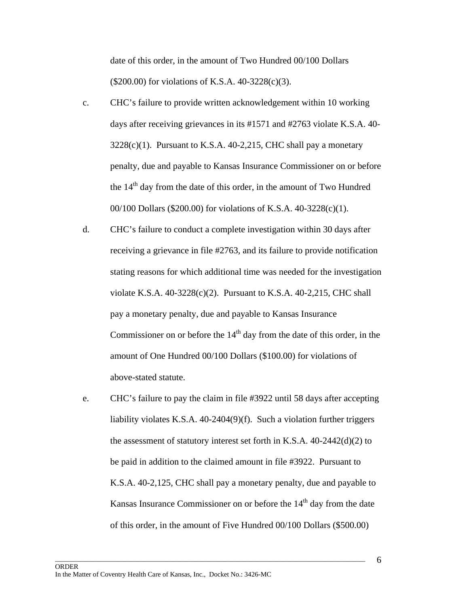date of this order, in the amount of Two Hundred 00/100 Dollars (\$200.00) for violations of K.S.A. 40-3228(c)(3).

- c. CHC's failure to provide written acknowledgement within 10 working days after receiving grievances in its #1571 and #2763 violate K.S.A. 40-  $3228(c)(1)$ . Pursuant to K.S.A. 40-2,215, CHC shall pay a monetary penalty, due and payable to Kansas Insurance Commissioner on or before the  $14<sup>th</sup>$  day from the date of this order, in the amount of Two Hundred 00/100 Dollars (\$200.00) for violations of K.S.A. 40-3228(c)(1).
- d. CHC's failure to conduct a complete investigation within 30 days after receiving a grievance in file #2763, and its failure to provide notification stating reasons for which additional time was needed for the investigation violate K.S.A.  $40-3228(c)(2)$ . Pursuant to K.S.A.  $40-2,215$ , CHC shall pay a monetary penalty, due and payable to Kansas Insurance Commissioner on or before the  $14<sup>th</sup>$  day from the date of this order, in the amount of One Hundred 00/100 Dollars (\$100.00) for violations of above-stated statute.
- e. CHC's failure to pay the claim in file #3922 until 58 days after accepting liability violates K.S.A. 40-2404(9)(f). Such a violation further triggers the assessment of statutory interest set forth in K.S.A. 40-2442(d)(2) to be paid in addition to the claimed amount in file #3922. Pursuant to K.S.A. 40-2,125, CHC shall pay a monetary penalty, due and payable to Kansas Insurance Commissioner on or before the  $14<sup>th</sup>$  day from the date of this order, in the amount of Five Hundred 00/100 Dollars (\$500.00)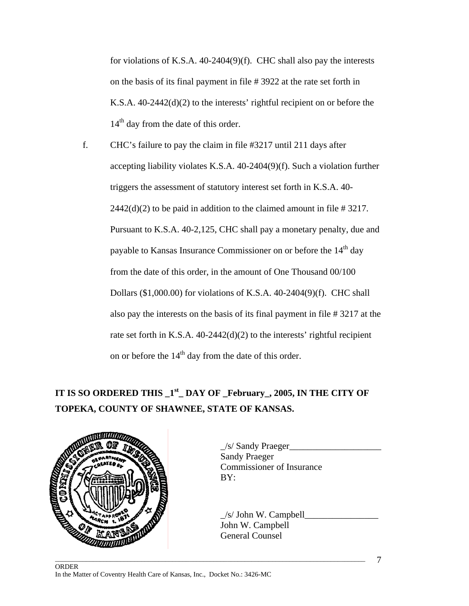for violations of K.S.A. 40-2404(9)(f). CHC shall also pay the interests on the basis of its final payment in file # 3922 at the rate set forth in K.S.A. 40-2442(d)(2) to the interests' rightful recipient on or before the  $14<sup>th</sup>$  day from the date of this order.

f. CHC's failure to pay the claim in file #3217 until 211 days after accepting liability violates K.S.A. 40-2404(9)(f). Such a violation further triggers the assessment of statutory interest set forth in K.S.A. 40-  $2442(d)(2)$  to be paid in addition to the claimed amount in file # 3217. Pursuant to K.S.A. 40-2,125, CHC shall pay a monetary penalty, due and payable to Kansas Insurance Commissioner on or before the 14<sup>th</sup> day from the date of this order, in the amount of One Thousand 00/100 Dollars (\$1,000.00) for violations of K.S.A. 40-2404(9)(f). CHC shall also pay the interests on the basis of its final payment in file # 3217 at the rate set forth in K.S.A. 40-2442(d)(2) to the interests' rightful recipient on or before the  $14<sup>th</sup>$  day from the date of this order.

# **IT IS SO ORDERED THIS**  $1<sup>st</sup>$  DAY OF February, 2005, IN THE CITY OF **TOPEKA, COUNTY OF SHAWNEE, STATE OF KANSAS.**

 $\Box$  . The contribution of the contribution of the contribution of the contribution of the contribution of the contribution of the contribution of the contribution of the contribution of the contribution of the contributi



\_/s/ Sandy Praeger\_\_\_\_\_\_\_\_\_\_\_\_\_\_\_\_\_\_\_\_ Sandy Praeger Commissioner of Insurance

 $/s/$  John W. Campbell John W. Campbell General Counsel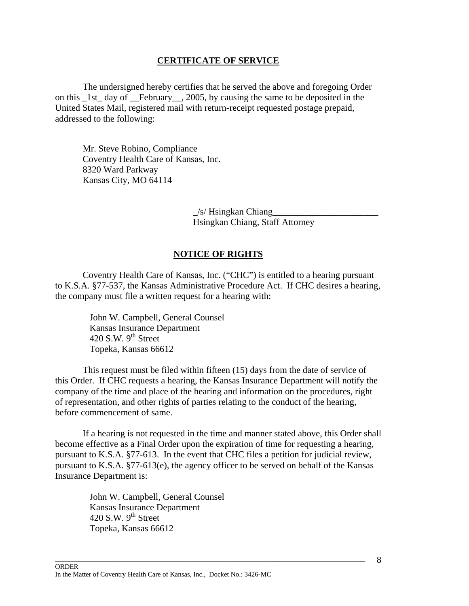#### **CERTIFICATE OF SERVICE**

 The undersigned hereby certifies that he served the above and foregoing Order on this 1st day of February, 2005, by causing the same to be deposited in the United States Mail, registered mail with return-receipt requested postage prepaid, addressed to the following:

 Mr. Steve Robino, Compliance Coventry Health Care of Kansas, Inc. 8320 Ward Parkway Kansas City, MO 64114

> $/s$  Hsingkan Chiang Hsingkan Chiang, Staff Attorney

## **NOTICE OF RIGHTS**

 Coventry Health Care of Kansas, Inc. ("CHC") is entitled to a hearing pursuant to K.S.A. §77-537, the Kansas Administrative Procedure Act. If CHC desires a hearing, the company must file a written request for a hearing with:

> John W. Campbell, General Counsel Kansas Insurance Department 420 S.W.  $9<sup>th</sup>$  Street Topeka, Kansas 66612

 This request must be filed within fifteen (15) days from the date of service of this Order. If CHC requests a hearing, the Kansas Insurance Department will notify the company of the time and place of the hearing and information on the procedures, right of representation, and other rights of parties relating to the conduct of the hearing, before commencement of same.

 If a hearing is not requested in the time and manner stated above, this Order shall become effective as a Final Order upon the expiration of time for requesting a hearing, pursuant to K.S.A. §77-613. In the event that CHC files a petition for judicial review, pursuant to K.S.A. §77-613(e), the agency officer to be served on behalf of the Kansas Insurance Department is:

 $\Box$  . The contribution of the contribution of the contribution of the contribution of the contribution of the contribution of the contribution of the contribution of the contribution of the contribution of the contributi

John W. Campbell, General Counsel Kansas Insurance Department 420 S.W.  $9<sup>th</sup>$  Street Topeka, Kansas 66612